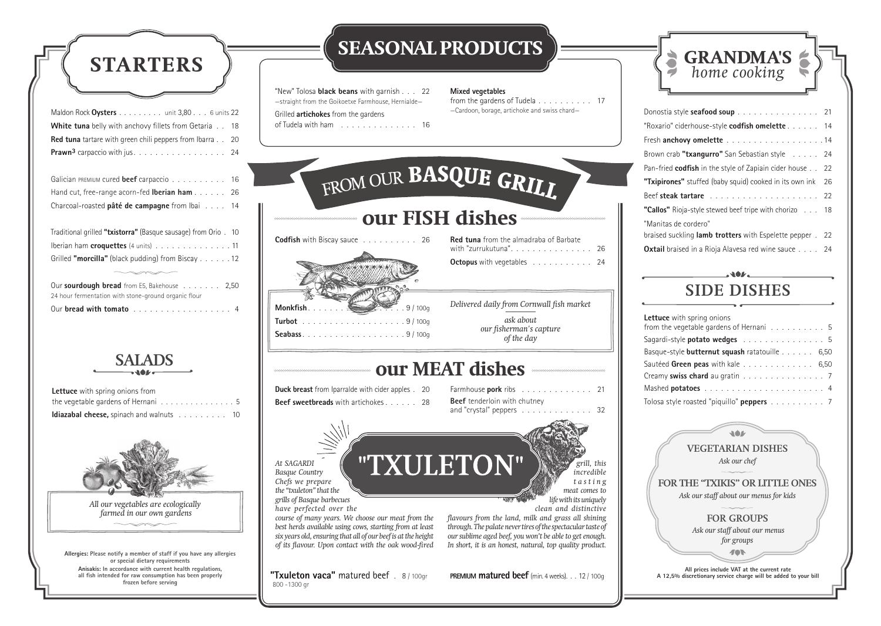**All prices include VAT at the current rate A 12,5% discretionary service charge will be added to your bill**

### **VEGETARIAN DISHES** *Ask our chef*

166

**FOR THE "TXIKIS" OR LITTLE ONES** *Ask our staff about our menus for kids*

### **FOR GROUPS**

 *Ask our staff about our menus for groups*

| Lettuce with spring onions from                                       |  |
|-----------------------------------------------------------------------|--|
| the vegetable gardens of Hernani $\ldots \ldots \ldots \ldots \ldots$ |  |
| <b>Idiazabal cheese, spinach and walnuts</b> 10                       |  |



*All our vegetables are ecologically farmed in our own gardens*

from the gardens of Tudela . . . . . . . . . . 17 —Cardoon, borage, artichoke and swiss chard—

| Donostia style seafood soup 21                                   |    |
|------------------------------------------------------------------|----|
| "Roxario" ciderhouse-style codfish omelette 14                   |    |
|                                                                  |    |
| Brown crab "txangurro" San Sebastian style 24                    |    |
| Pan-fried <b>codfish</b> in the style of Zapiain cider house 22  |    |
| "Txipirones" stuffed (baby squid) cooked in its own ink          | 26 |
|                                                                  |    |
| <b>"Callos"</b> Rioja-style stewed beef tripe with chorizo 18    |    |
| "Manitas de cordero"                                             |    |
| braised suckling <b>lamb trotters</b> with Espelette pepper . 22 |    |
| <b>Oxtail</b> braised in a Rioja Alavesa red wine sauce 24       |    |

| Maldon Rock Oysters unit 3,80 6 units 22                                                    |
|---------------------------------------------------------------------------------------------|
| <b>White tuna</b> belly with anchovy fillets from Getaria 18                                |
| <b>Red tuna</b> tartare with green chili peppers from Ibarra 20                             |
| <b>Prawn<sup>3</sup></b> carpaccio with jus. $\ldots \ldots \ldots \ldots \ldots \ldots$ 24 |
|                                                                                             |

Galician PREMIUM cured **beef** carpaccio . . . . . . . . . . 16 Hand cut, free-range acorn-fed **Iberian ham** . . . . . . 26 Charcoal-roasted **pâté de campagne** from Ibai . . . . 14

| Traditional grilled "txistorra" (Basque sausage) from Orio . 10 |  |
|-----------------------------------------------------------------|--|
| Iberian ham croquettes (4 units) 11                             |  |
| Grilled "morcilla" (black pudding) from Biscay 12               |  |

| Our sourdough bread from E5, Bakehouse 2,50          |  |
|------------------------------------------------------|--|
| 24 hour fermentation with stone-ground organic flour |  |
| Our bread with tomato 4                              |  |

"New" Tolosa **black beans** with garnish . . . 22 —straight from the Goikoetxe Farmhouse, Hernialde— Grilled **artichokes** from the gardens

of Tudela with ham . . . . . . . . . . . . . . 16



### **Mixed vegetables**





| Lettuce with spring onions                       |  |
|--------------------------------------------------|--|
| from the vegetable gardens of Hernani 5          |  |
| Sagardi-style potato wedges 5                    |  |
| Basque-style butternut squash ratatouille 6,50   |  |
| Sautéed Green peas with kale 6,50                |  |
| Creamy swiss chard au gratin 7                   |  |
|                                                  |  |
| Tolosa style roasted "piquillo" <b>peppers</b> 7 |  |

# **SIDE DISHES**

## **SEASONAL PRODUCTS**

**Allergies: Please notify a member of staff if you have any allergies or special dietary requirements Anisakis: In accordance with current health regulations, all fish intended for raw consumption has been properly frozen before serving**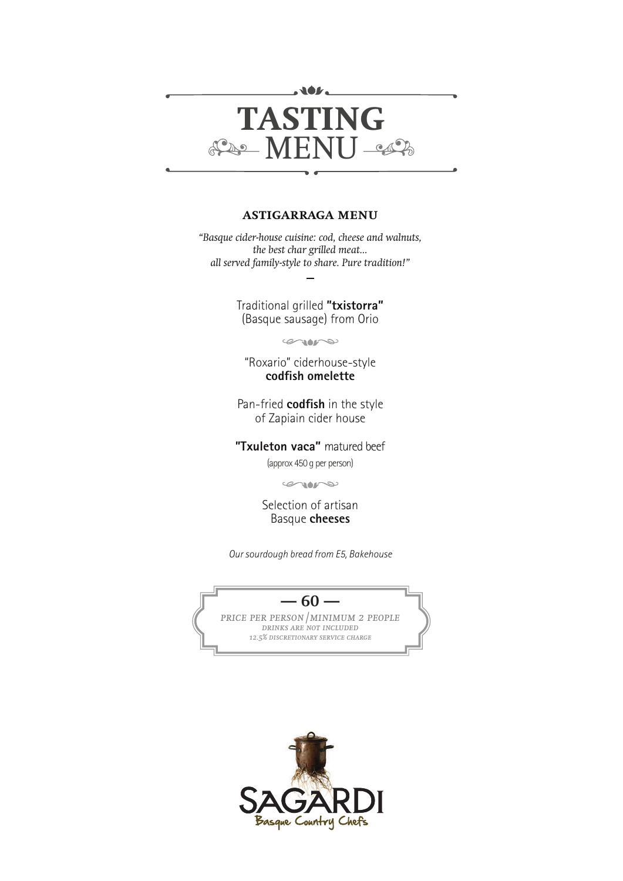

### **astigarraga menu**

*"Basque cider-house cuisine: cod, cheese and walnuts, the best char grilled meat... all served family-style to share. Pure tradition!"*

> Traditional grilled **"txistorra"** (Basque sausage) from Orio

> > $\infty$

"Roxario" ciderhouse-style **codfish omelette**

Pan-fried **codfish** in the style of Zapiain cider house

**"Txuleton vaca"** matured beef

(approx 450 g per person)

 $\infty$ 

Selection of artisan Basque **cheeses**

*Our sourdough bread from E5, Bakehouse*